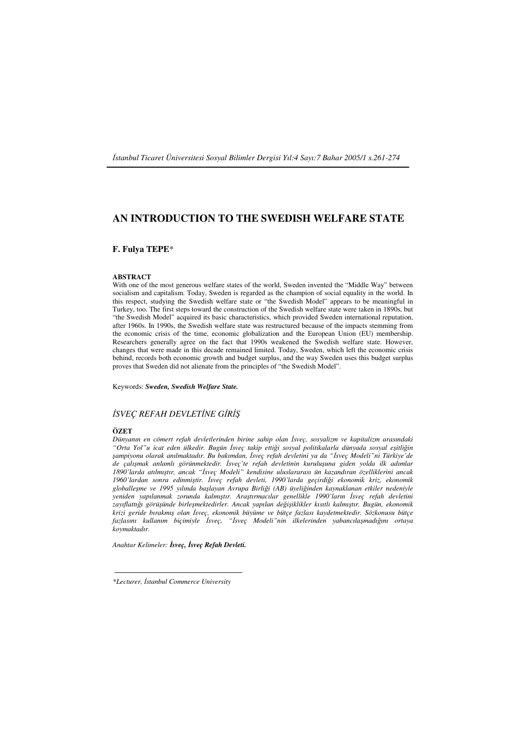İ*stanbul Ticaret Üniversitesi Sosyal Bilimler Dergisi Yıl:4 Sayı:7 Bahar 2005/1 s.261-274* 

# **AN INTRODUCTION TO THE SWEDISH WELFARE STATE**

# **F. Fulya TEPE**\*

#### **ABSTRACT**

With one of the most generous welfare states of the world, Sweden invented the "Middle Way" between socialism and capitalism. Today, Sweden is regarded as the champion of social equality in the world. In this respect, studying the Swedish welfare state or "the Swedish Model" appears to be meaningful in Turkey, too. The first steps toward the construction of the Swedish welfare state were taken in 1890s, but "the Swedish Model" acquired its basic characteristics, which provided Sweden international reputation, after 1960s. In 1990s, the Swedish welfare state was restructured because of the impacts stemming from the economic crisis of the time, economic globalization and the European Union (EU) membership. Researchers generally agree on the fact that 1990s weakened the Swedish welfare state. However, changes that were made in this decade remained limited. Today, Sweden, which left the economic crisis behind, records both economic growth and budget surplus, and the way Sweden uses this budget surplus proves that Sweden did not alienate from the principles of "the Swedish Model".

Keywords: *Sweden, Swedish Welfare State.*

#### İ*SVEÇ REFAH DEVLET*İ*NE G*İ*R*İŞ

#### **ÖZET**

*Dünyanın en cömert refah devletlerinden birine sahip olan* İ*sveç, sosyalizm ve kapitalizm arasındaki "Orta Yol"u icat eden ülkedir. Bugün* İ*sveç takip etti*ğ*i sosyal politikalarla dünyada sosyal e*ş*itli*ğ*in*  ş*ampiyonu olarak anılmaktadır. Bu bakımdan,* İ*sveç refah devletini ya da "*İ*sveç Modeli"ni Türkiye'de de çalı*ş*mak anlamlı görünmektedir.* İ*sveç'te refah devletinin kurulu*ş*una giden yolda ilk adımlar 1890'larda atılmı*ş*tır, ancak "*İ*sveç Modeli" kendisine uluslararası ün kazandıran özelliklerini ancak 1960'lardan sonra edinmi*ş*tir.* İ*sveç refah devleti, 1990'larda geçirdi*ğ*i ekonomik kriz, ekonomik globalle*ş*me ve 1995 yılında ba*ş*layan Avrupa Birli*ğ*i (AB) üyeli*ğ*inden kaynaklanan etkiler nedeniyle yeniden yapılanmak zorunda kalmı*ş*tır. Ara*ş*tırmacılar genellikle 1990'ların* İ*sveç refah devletini zayıflattı*ğ*ı görü*ş*ünde birle*ş*mektedirler. Ancak yapılan de*ğ*i*ş*iklikler kısıtlı kalmı*ş*tır. Bugün, ekonomik krizi geride bırakmı*ş *olan* İ*sveç, ekonomik büyüme ve bütçe fazlası kaydetmektedir. Sözkonusu bütçe fazlasını kullanım biçimiyle* İ*sveç, "*İ*sveç Modeli"nin ilkelerinden yabancıla*ş*madı*ğ*ını ortaya koymaktadır.* 

*Anahtar Kelimeler:* İ*sveç,* İ*sveç Refah Devleti.*

*<sup>\*</sup>Lecturer,* İ*stanbul Commerce University*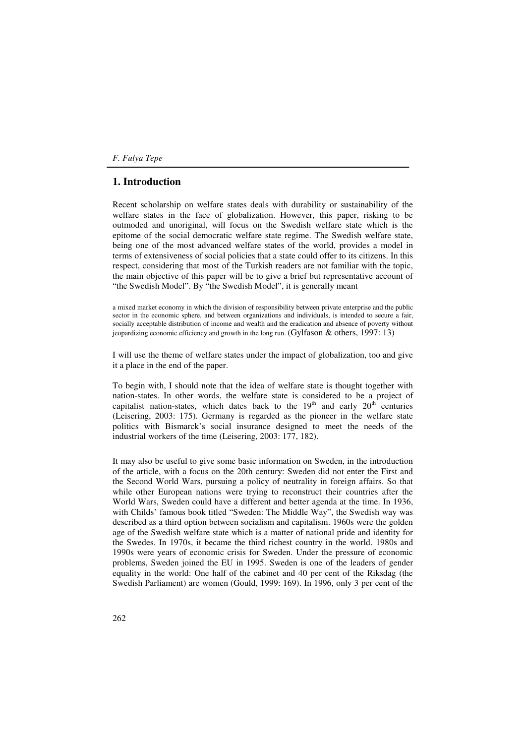# **1. Introduction**

Recent scholarship on welfare states deals with durability or sustainability of the welfare states in the face of globalization. However, this paper, risking to be outmoded and unoriginal, will focus on the Swedish welfare state which is the epitome of the social democratic welfare state regime. The Swedish welfare state, being one of the most advanced welfare states of the world, provides a model in terms of extensiveness of social policies that a state could offer to its citizens. In this respect, considering that most of the Turkish readers are not familiar with the topic, the main objective of this paper will be to give a brief but representative account of "the Swedish Model". By "the Swedish Model", it is generally meant

a mixed market economy in which the division of responsibility between private enterprise and the public sector in the economic sphere, and between organizations and individuals, is intended to secure a fair, socially acceptable distribution of income and wealth and the eradication and absence of poverty without jeopardizing economic efficiency and growth in the long run. (Gylfason & others, 1997: 13)

I will use the theme of welfare states under the impact of globalization, too and give it a place in the end of the paper.

To begin with, I should note that the idea of welfare state is thought together with nation-states. In other words, the welfare state is considered to be a project of capitalist nation-states, which dates back to the  $19<sup>th</sup>$  and early  $20<sup>th</sup>$  centuries (Leisering, 2003: 175). Germany is regarded as the pioneer in the welfare state politics with Bismarck's social insurance designed to meet the needs of the industrial workers of the time (Leisering, 2003: 177, 182).

It may also be useful to give some basic information on Sweden, in the introduction of the article, with a focus on the 20th century: Sweden did not enter the First and the Second World Wars, pursuing a policy of neutrality in foreign affairs. So that while other European nations were trying to reconstruct their countries after the World Wars, Sweden could have a different and better agenda at the time. In 1936, with Childs' famous book titled "Sweden: The Middle Way", the Swedish way was described as a third option between socialism and capitalism. 1960s were the golden age of the Swedish welfare state which is a matter of national pride and identity for the Swedes. In 1970s, it became the third richest country in the world. 1980s and 1990s were years of economic crisis for Sweden. Under the pressure of economic problems, Sweden joined the EU in 1995. Sweden is one of the leaders of gender equality in the world: One half of the cabinet and 40 per cent of the Riksdag (the Swedish Parliament) are women (Gould, 1999: 169). In 1996, only 3 per cent of the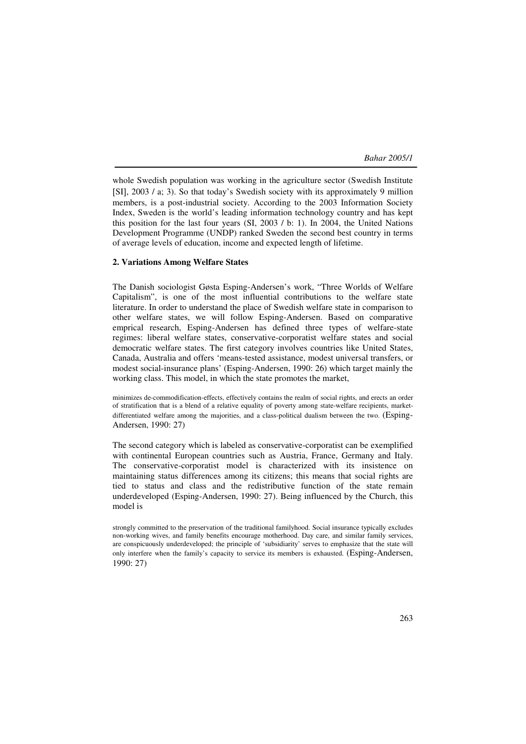whole Swedish population was working in the agriculture sector (Swedish Institute [SI], 2003 / a; 3). So that today's Swedish society with its approximately 9 million members, is a post-industrial society. According to the 2003 Information Society Index, Sweden is the world's leading information technology country and has kept this position for the last four years (SI, 2003 / b: 1). In 2004, the United Nations Development Programme (UNDP) ranked Sweden the second best country in terms of average levels of education, income and expected length of lifetime.

#### **2. Variations Among Welfare States**

The Danish sociologist Gøsta Esping-Andersen's work, "Three Worlds of Welfare Capitalism", is one of the most influential contributions to the welfare state literature. In order to understand the place of Swedish welfare state in comparison to other welfare states, we will follow Esping-Andersen. Based on comparative emprical research, Esping-Andersen has defined three types of welfare-state regimes: liberal welfare states, conservative-corporatist welfare states and social democratic welfare states. The first category involves countries like United States, Canada, Australia and offers 'means-tested assistance, modest universal transfers, or modest social-insurance plans' (Esping-Andersen, 1990: 26) which target mainly the working class. This model, in which the state promotes the market,

minimizes de-commodification-effects, effectively contains the realm of social rights, and erects an order of stratification that is a blend of a relative equality of poverty among state-welfare recipients, marketdifferentiated welfare among the majorities, and a class-political dualism between the two. (Esping-Andersen, 1990: 27)

The second category which is labeled as conservative-corporatist can be exemplified with continental European countries such as Austria, France, Germany and Italy. The conservative-corporatist model is characterized with its insistence on maintaining status differences among its citizens; this means that social rights are tied to status and class and the redistributive function of the state remain underdeveloped (Esping-Andersen, 1990: 27). Being influenced by the Church, this model is

strongly committed to the preservation of the traditional familyhood. Social insurance typically excludes non-working wives, and family benefits encourage motherhood. Day care, and similar family services, are conspicuously underdeveloped; the principle of 'subsidiarity' serves to emphasize that the state will only interfere when the family's capacity to service its members is exhausted. (Esping-Andersen, 1990: 27)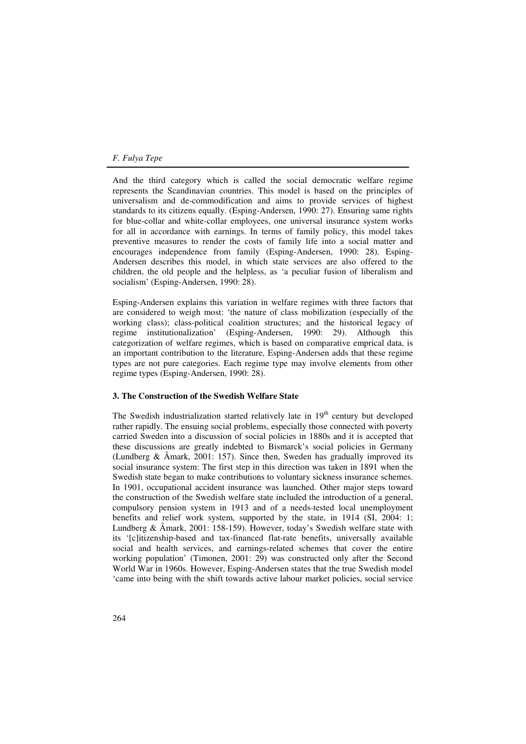And the third category which is called the social democratic welfare regime represents the Scandinavian countries. This model is based on the principles of universalism and de-commodification and aims to provide services of highest standards to its citizens equally. (Esping-Andersen, 1990: 27). Ensuring same rights for blue-collar and white-collar employees, one universal insurance system works for all in accordance with earnings. In terms of family policy, this model takes preventive measures to render the costs of family life into a social matter and encourages independence from family (Esping-Andersen, 1990: 28). Esping-Andersen describes this model, in which state services are also offered to the children, the old people and the helpless, as 'a peculiar fusion of liberalism and socialism' (Esping-Andersen, 1990: 28).

Esping-Andersen explains this variation in welfare regimes with three factors that are considered to weigh most: 'the nature of class mobilization (especially of the working class); class-political coalition structures; and the historical legacy of regime institutionalization' (Esping-Andersen, 1990: 29). Although this categorization of welfare regimes, which is based on comparative emprical data, is an important contribution to the literature, Esping-Andersen adds that these regime types are not pure categories. Each regime type may involve elements from other regime types (Esping-Andersen, 1990: 28).

#### **3. The Construction of the Swedish Welfare State**

The Swedish industrialization started relatively late in  $19<sup>th</sup>$  century but developed rather rapidly. The ensuing social problems, especially those connected with poverty carried Sweden into a discussion of social policies in 1880s and it is accepted that these discussions are greatly indebted to Bismarck's social policies in Germany (Lundberg & Åmark, 2001: 157). Since then, Sweden has gradually improved its social insurance system: The first step in this direction was taken in 1891 when the Swedish state began to make contributions to voluntary sickness insurance schemes. In 1901, occupational accident insurance was launched. Other major steps toward the construction of the Swedish welfare state included the introduction of a general, compulsory pension system in 1913 and of a needs-tested local unemployment benefits and relief work system, supported by the state, in 1914 (SI, 2004: 1; Lundberg & Åmark, 2001: 158-159). However, today's Swedish welfare state with its '[c]itizenship-based and tax-financed flat-rate benefits, universally available social and health services, and earnings-related schemes that cover the entire working population' (Timonen, 2001: 29) was constructed only after the Second World War in 1960s. However, Esping-Andersen states that the true Swedish model 'came into being with the shift towards active labour market policies, social service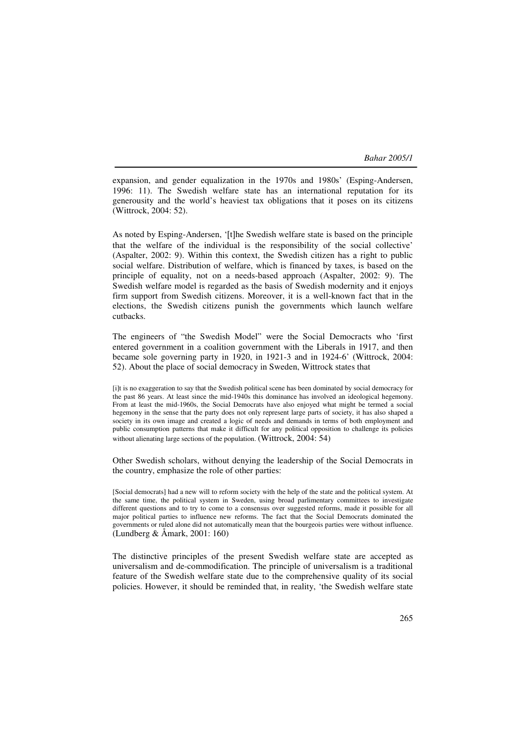expansion, and gender equalization in the 1970s and 1980s' (Esping-Andersen, 1996: 11). The Swedish welfare state has an international reputation for its generousity and the world's heaviest tax obligations that it poses on its citizens (Wittrock, 2004: 52).

As noted by Esping-Andersen, '[t]he Swedish welfare state is based on the principle that the welfare of the individual is the responsibility of the social collective' (Aspalter, 2002: 9). Within this context, the Swedish citizen has a right to public social welfare. Distribution of welfare, which is financed by taxes, is based on the principle of equality, not on a needs-based approach (Aspalter, 2002: 9). The Swedish welfare model is regarded as the basis of Swedish modernity and it enjoys firm support from Swedish citizens. Moreover, it is a well-known fact that in the elections, the Swedish citizens punish the governments which launch welfare cutbacks.

The engineers of "the Swedish Model" were the Social Democracts who 'first entered government in a coalition government with the Liberals in 1917, and then became sole governing party in 1920, in 1921-3 and in 1924-6' (Wittrock, 2004: 52). About the place of social democracy in Sweden, Wittrock states that

[i]t is no exaggeration to say that the Swedish political scene has been dominated by social democracy for the past 86 years. At least since the mid-1940s this dominance has involved an ideological hegemony. From at least the mid-1960s, the Social Democrats have also enjoyed what might be termed a social hegemony in the sense that the party does not only represent large parts of society, it has also shaped a society in its own image and created a logic of needs and demands in terms of both employment and public consumption patterns that make it difficult for any political opposition to challenge its policies without alienating large sections of the population. (Wittrock, 2004: 54)

Other Swedish scholars, without denying the leadership of the Social Democrats in the country, emphasize the role of other parties:

[Social democrats] had a new will to reform society with the help of the state and the political system. At the same time, the political system in Sweden, using broad parlimentary committees to investigate different questions and to try to come to a consensus over suggested reforms, made it possible for all major political parties to influence new reforms. The fact that the Social Democrats dominated the governments or ruled alone did not automatically mean that the bourgeois parties were without influence. (Lundberg & Åmark, 2001: 160)

The distinctive principles of the present Swedish welfare state are accepted as universalism and de-commodification. The principle of universalism is a traditional feature of the Swedish welfare state due to the comprehensive quality of its social policies. However, it should be reminded that, in reality, 'the Swedish welfare state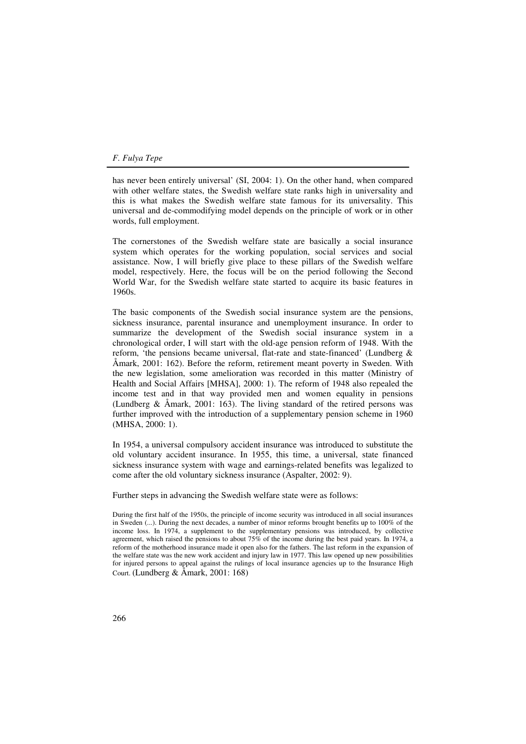has never been entirely universal' (SI, 2004: 1). On the other hand, when compared with other welfare states, the Swedish welfare state ranks high in universality and this is what makes the Swedish welfare state famous for its universality. This universal and de-commodifying model depends on the principle of work or in other words, full employment.

The cornerstones of the Swedish welfare state are basically a social insurance system which operates for the working population, social services and social assistance. Now, I will briefly give place to these pillars of the Swedish welfare model, respectively. Here, the focus will be on the period following the Second World War, for the Swedish welfare state started to acquire its basic features in 1960s.

The basic components of the Swedish social insurance system are the pensions, sickness insurance, parental insurance and unemployment insurance. In order to summarize the development of the Swedish social insurance system in a chronological order, I will start with the old-age pension reform of 1948. With the reform, 'the pensions became universal, flat-rate and state-financed' (Lundberg & Åmark, 2001: 162). Before the reform, retirement meant poverty in Sweden. With the new legislation, some amelioration was recorded in this matter (Ministry of Health and Social Affairs [MHSA], 2000: 1). The reform of 1948 also repealed the income test and in that way provided men and women equality in pensions (Lundberg & Åmark, 2001: 163). The living standard of the retired persons was further improved with the introduction of a supplementary pension scheme in 1960 (MHSA, 2000: 1).

In 1954, a universal compulsory accident insurance was introduced to substitute the old voluntary accident insurance. In 1955, this time, a universal, state financed sickness insurance system with wage and earnings-related benefits was legalized to come after the old voluntary sickness insurance (Aspalter, 2002: 9).

Further steps in advancing the Swedish welfare state were as follows:

During the first half of the 1950s, the principle of income security was introduced in all social insurances in Sweden (...). During the next decades, a number of minor reforms brought benefits up to 100% of the income loss. In 1974, a supplement to the supplementary pensions was introduced, by collective agreement, which raised the pensions to about 75% of the income during the best paid years. In 1974, a reform of the motherhood insurance made it open also for the fathers. The last reform in the expansion of the welfare state was the new work accident and injury law in 1977. This law opened up new possibilities for injured persons to appeal against the rulings of local insurance agencies up to the Insurance High Court. (Lundberg & Åmark, 2001: 168)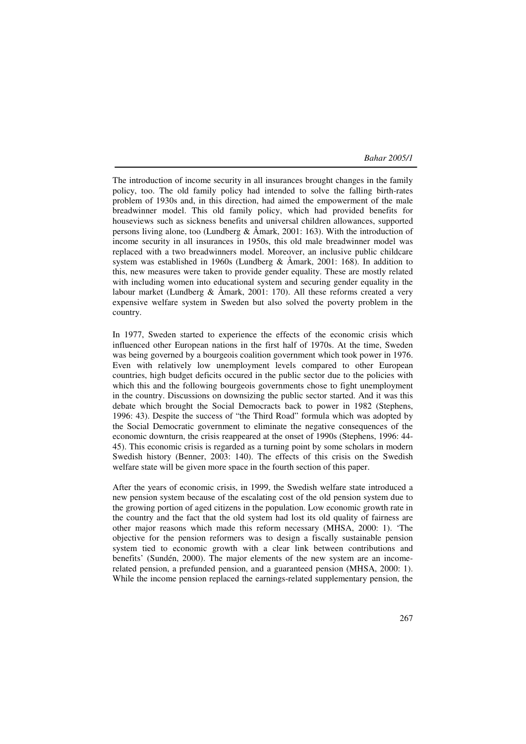The introduction of income security in all insurances brought changes in the family policy, too. The old family policy had intended to solve the falling birth-rates problem of 1930s and, in this direction, had aimed the empowerment of the male breadwinner model. This old family policy, which had provided benefits for houseviews such as sickness benefits and universal children allowances, supported persons living alone, too (Lundberg & Åmark, 2001: 163). With the introduction of income security in all insurances in 1950s, this old male breadwinner model was replaced with a two breadwinners model. Moreover, an inclusive public childcare system was established in 1960s (Lundberg & Åmark, 2001: 168). In addition to this, new measures were taken to provide gender equality. These are mostly related with including women into educational system and securing gender equality in the labour market (Lundberg  $\&$  Åmark, 2001: 170). All these reforms created a very expensive welfare system in Sweden but also solved the poverty problem in the country.

In 1977, Sweden started to experience the effects of the economic crisis which influenced other European nations in the first half of 1970s. At the time, Sweden was being governed by a bourgeois coalition government which took power in 1976. Even with relatively low unemployment levels compared to other European countries, high budget deficits occured in the public sector due to the policies with which this and the following bourgeois governments chose to fight unemployment in the country. Discussions on downsizing the public sector started. And it was this debate which brought the Social Democracts back to power in 1982 (Stephens, 1996: 43). Despite the success of "the Third Road" formula which was adopted by the Social Democratic government to eliminate the negative consequences of the economic downturn, the crisis reappeared at the onset of 1990s (Stephens, 1996: 44- 45). This economic crisis is regarded as a turning point by some scholars in modern Swedish history (Benner, 2003: 140). The effects of this crisis on the Swedish welfare state will be given more space in the fourth section of this paper.

After the years of economic crisis, in 1999, the Swedish welfare state introduced a new pension system because of the escalating cost of the old pension system due to the growing portion of aged citizens in the population. Low economic growth rate in the country and the fact that the old system had lost its old quality of fairness are other major reasons which made this reform necessary (MHSA, 2000: 1). 'The objective for the pension reformers was to design a fiscally sustainable pension system tied to economic growth with a clear link between contributions and benefits' (Sundén, 2000). The major elements of the new system are an incomerelated pension, a prefunded pension, and a guaranteed pension (MHSA, 2000: 1). While the income pension replaced the earnings-related supplementary pension, the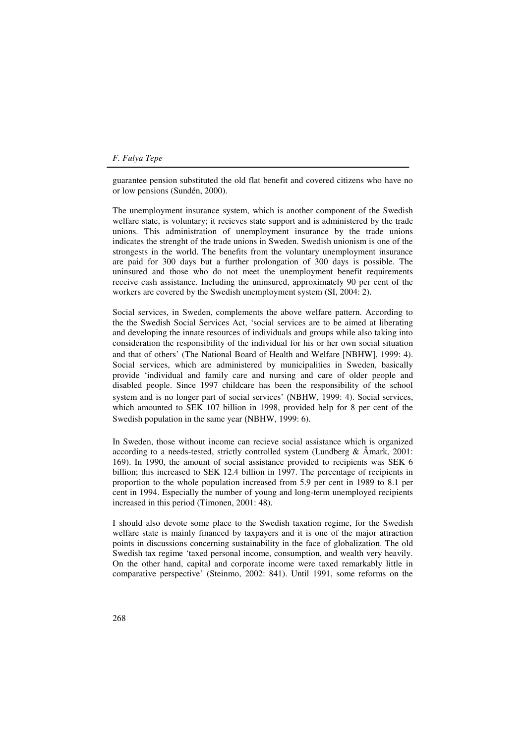guarantee pension substituted the old flat benefit and covered citizens who have no or low pensions (Sundén, 2000).

The unemployment insurance system, which is another component of the Swedish welfare state, is voluntary; it recieves state support and is administered by the trade unions. This administration of unemployment insurance by the trade unions indicates the strenght of the trade unions in Sweden. Swedish unionism is one of the strongests in the world. The benefits from the voluntary unemployment insurance are paid for 300 days but a further prolongation of 300 days is possible. The uninsured and those who do not meet the unemployment benefit requirements receive cash assistance. Including the uninsured, approximately 90 per cent of the workers are covered by the Swedish unemployment system (SI, 2004: 2).

Social services, in Sweden, complements the above welfare pattern. According to the the Swedish Social Services Act, 'social services are to be aimed at liberating and developing the innate resources of individuals and groups while also taking into consideration the responsibility of the individual for his or her own social situation and that of others' (The National Board of Health and Welfare [NBHW], 1999: 4). Social services, which are administered by municipalities in Sweden, basically provide 'individual and family care and nursing and care of older people and disabled people. Since 1997 childcare has been the responsibility of the school system and is no longer part of social services' (NBHW, 1999: 4). Social services, which amounted to SEK 107 billion in 1998, provided help for 8 per cent of the Swedish population in the same year (NBHW, 1999: 6).

In Sweden, those without income can recieve social assistance which is organized according to a needs-tested, strictly controlled system (Lundberg  $\&$  Åmark, 2001: 169). In 1990, the amount of social assistance provided to recipients was SEK 6 billion; this increased to SEK 12.4 billion in 1997. The percentage of recipients in proportion to the whole population increased from 5.9 per cent in 1989 to 8.1 per cent in 1994. Especially the number of young and long-term unemployed recipients increased in this period (Timonen, 2001: 48).

I should also devote some place to the Swedish taxation regime, for the Swedish welfare state is mainly financed by taxpayers and it is one of the major attraction points in discussions concerning sustainability in the face of globalization. The old Swedish tax regime 'taxed personal income, consumption, and wealth very heavily. On the other hand, capital and corporate income were taxed remarkably little in comparative perspective' (Steinmo, 2002: 841). Until 1991, some reforms on the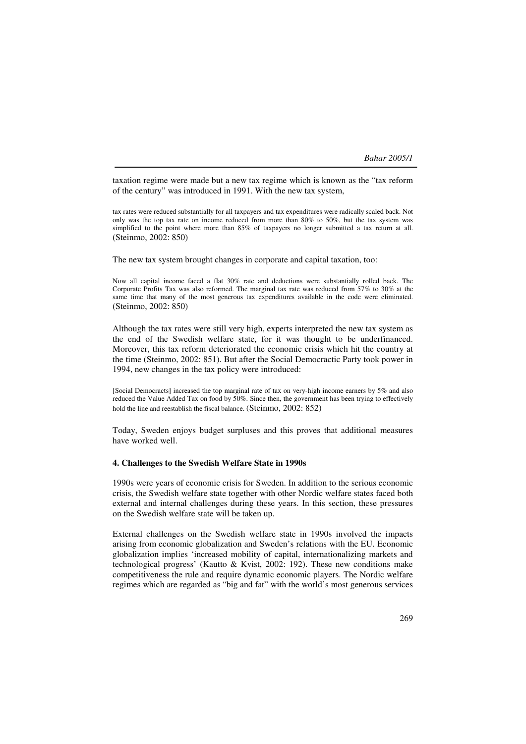taxation regime were made but a new tax regime which is known as the "tax reform of the century" was introduced in 1991. With the new tax system,

tax rates were reduced substantially for all taxpayers and tax expenditures were radically scaled back. Not only was the top tax rate on income reduced from more than 80% to 50%, but the tax system was simplified to the point where more than 85% of taxpayers no longer submitted a tax return at all. (Steinmo, 2002: 850)

The new tax system brought changes in corporate and capital taxation, too:

Now all capital income faced a flat 30% rate and deductions were substantially rolled back. The Corporate Profits Tax was also reformed. The marginal tax rate was reduced from 57% to 30% at the same time that many of the most generous tax expenditures available in the code were eliminated. (Steinmo, 2002: 850)

Although the tax rates were still very high, experts interpreted the new tax system as the end of the Swedish welfare state, for it was thought to be underfinanced. Moreover, this tax reform deteriorated the economic crisis which hit the country at the time (Steinmo, 2002: 851). But after the Social Democractic Party took power in 1994, new changes in the tax policy were introduced:

[Social Democracts] increased the top marginal rate of tax on very-high income earners by 5% and also reduced the Value Added Tax on food by 50%. Since then, the government has been trying to effectively hold the line and reestablish the fiscal balance. (Steinmo, 2002: 852)

Today, Sweden enjoys budget surpluses and this proves that additional measures have worked well.

#### **4. Challenges to the Swedish Welfare State in 1990s**

1990s were years of economic crisis for Sweden. In addition to the serious economic crisis, the Swedish welfare state together with other Nordic welfare states faced both external and internal challenges during these years. In this section, these pressures on the Swedish welfare state will be taken up.

External challenges on the Swedish welfare state in 1990s involved the impacts arising from economic globalization and Sweden's relations with the EU. Economic globalization implies 'increased mobility of capital, internationalizing markets and technological progress' (Kautto & Kvist, 2002: 192). These new conditions make competitiveness the rule and require dynamic economic players. The Nordic welfare regimes which are regarded as "big and fat" with the world's most generous services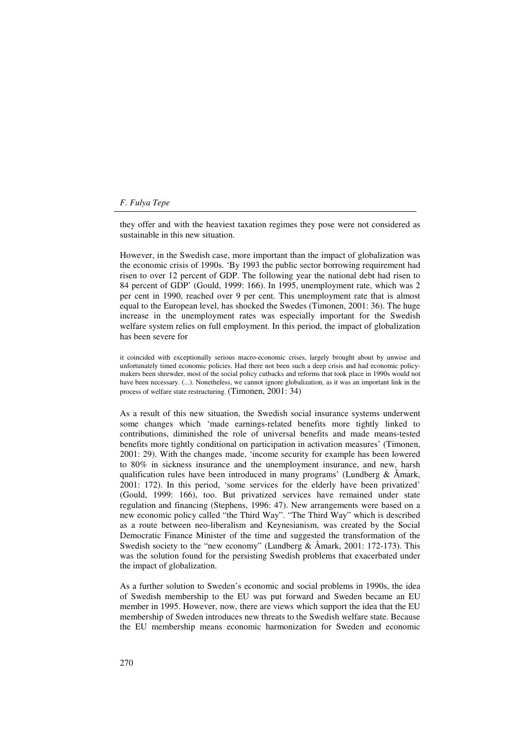they offer and with the heaviest taxation regimes they pose were not considered as sustainable in this new situation.

However, in the Swedish case, more important than the impact of globalization was the economic crisis of 1990s. 'By 1993 the public sector borrowing requirement had risen to over 12 percent of GDP. The following year the national debt had risen to 84 percent of GDP' (Gould, 1999: 166). In 1995, unemployment rate, which was 2 per cent in 1990, reached over 9 per cent. This unemployment rate that is almost equal to the European level, has shocked the Swedes (Timonen, 2001: 36). The huge increase in the unemployment rates was especially important for the Swedish welfare system relies on full employment. In this period, the impact of globalization has been severe for

it coincided with exceptionally serious macro-economic crises, largely brought about by unwise and unfortunately timed economic policies. Had there not been such a deep crisis and had economic policymakers been shrewder, most of the social policy cutbacks and reforms that took place in 1990s would not have been necessary. (...). Nonetheless, we cannot ignore globalization, as it was an important link in the process of welfare state restructuring. (Timonen, 2001: 34)

As a result of this new situation, the Swedish social insurance systems underwent some changes which 'made earnings-related benefits more tightly linked to contributions, diminished the role of universal benefits and made means-tested benefits more tightly conditional on participation in activation measures' (Timonen, 2001: 29). With the changes made, 'income security for example has been lowered to 80% in sickness insurance and the unemployment insurance, and new, harsh qualification rules have been introduced in many programs' (Lundberg  $\&$  Åmark, 2001: 172). In this period, 'some services for the elderly have been privatized' (Gould, 1999: 166), too. But privatized services have remained under state regulation and financing (Stephens, 1996: 47). New arrangements were based on a new economic policy called "the Third Way". "The Third Way" which is described as a route between neo-liberalism and Keynesianism, was created by the Social Democratic Finance Minister of the time and suggested the transformation of the Swedish society to the "new economy" (Lundberg & Åmark, 2001: 172-173). This was the solution found for the persisting Swedish problems that exacerbated under the impact of globalization.

As a further solution to Sweden's economic and social problems in 1990s, the idea of Swedish membership to the EU was put forward and Sweden became an EU member in 1995. However, now, there are views which support the idea that the EU membership of Sweden introduces new threats to the Swedish welfare state. Because the EU membership means economic harmonization for Sweden and economic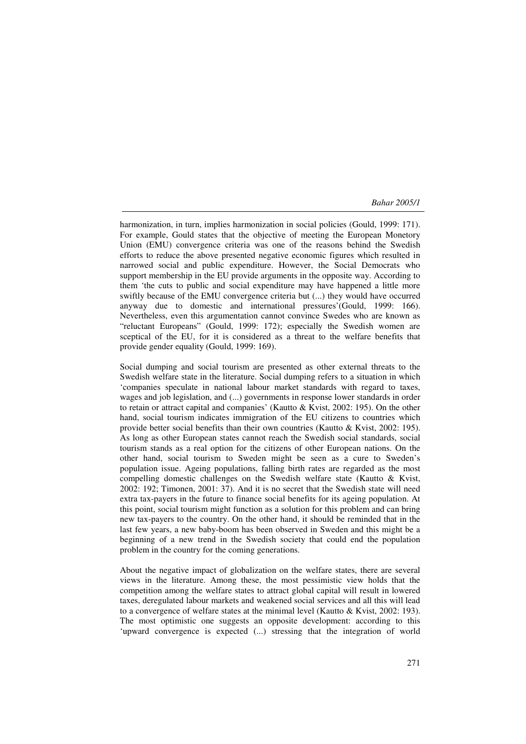harmonization, in turn, implies harmonization in social policies (Gould, 1999: 171). For example, Gould states that the objective of meeting the European Monetory Union (EMU) convergence criteria was one of the reasons behind the Swedish efforts to reduce the above presented negative economic figures which resulted in narrowed social and public expenditure. However, the Social Democrats who support membership in the EU provide arguments in the opposite way. According to them 'the cuts to public and social expenditure may have happened a little more swiftly because of the EMU convergence criteria but (...) they would have occurred anyway due to domestic and international pressures'(Gould, 1999: 166). Nevertheless, even this argumentation cannot convince Swedes who are known as "reluctant Europeans" (Gould, 1999: 172); especially the Swedish women are sceptical of the EU, for it is considered as a threat to the welfare benefits that provide gender equality (Gould, 1999: 169).

Social dumping and social tourism are presented as other external threats to the Swedish welfare state in the literature. Social dumping refers to a situation in which 'companies speculate in national labour market standards with regard to taxes, wages and job legislation, and (...) governments in response lower standards in order to retain or attract capital and companies' (Kautto & Kvist, 2002: 195). On the other hand, social tourism indicates immigration of the EU citizens to countries which provide better social benefits than their own countries (Kautto & Kvist, 2002: 195). As long as other European states cannot reach the Swedish social standards, social tourism stands as a real option for the citizens of other European nations. On the other hand, social tourism to Sweden might be seen as a cure to Sweden's population issue. Ageing populations, falling birth rates are regarded as the most compelling domestic challenges on the Swedish welfare state (Kautto & Kvist, 2002: 192; Timonen, 2001: 37). And it is no secret that the Swedish state will need extra tax-payers in the future to finance social benefits for its ageing population. At this point, social tourism might function as a solution for this problem and can bring new tax-payers to the country. On the other hand, it should be reminded that in the last few years, a new baby-boom has been observed in Sweden and this might be a beginning of a new trend in the Swedish society that could end the population problem in the country for the coming generations.

About the negative impact of globalization on the welfare states, there are several views in the literature. Among these, the most pessimistic view holds that the competition among the welfare states to attract global capital will result in lowered taxes, deregulated labour markets and weakened social services and all this will lead to a convergence of welfare states at the minimal level (Kautto & Kvist, 2002: 193). The most optimistic one suggests an opposite development: according to this 'upward convergence is expected (...) stressing that the integration of world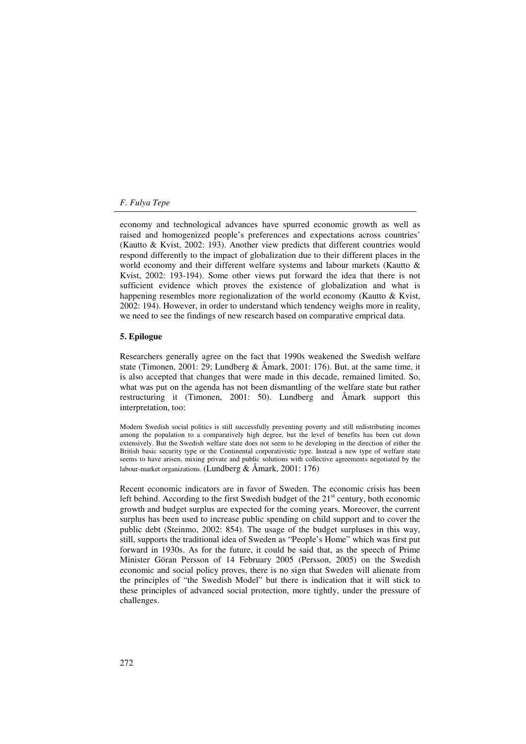economy and technological advances have spurred economic growth as well as raised and homogenized people's preferences and expectations across countries' (Kautto & Kvist, 2002: 193). Another view predicts that different countries would respond differently to the impact of globalization due to their different places in the world economy and their different welfare systems and labour markets (Kautto & Kvist, 2002: 193-194). Some other views put forward the idea that there is not sufficient evidence which proves the existence of globalization and what is happening resembles more regionalization of the world economy (Kautto & Kvist, 2002: 194). However, in order to understand which tendency weighs more in reality, we need to see the findings of new research based on comparative emprical data.

#### **5. Epilogue**

Researchers generally agree on the fact that 1990s weakened the Swedish welfare state (Timonen, 2001: 29; Lundberg & Åmark, 2001: 176). But, at the same time, it is also accepted that changes that were made in this decade, remained limited. So, what was put on the agenda has not been dismantling of the welfare state but rather restructuring it (Timonen, 2001: 50). Lundberg and Åmark support this interpretation, too:

Modern Swedish social politics is still successfully preventing poverty and still redistributing incomes among the population to a comparatively high degree, but the level of benefits has been cut down extensively. But the Swedish welfare state does not seem to be developing in the direction of either the British basic security type or the Continental corporativistic type. Instead a new type of welfare state seems to have arisen, mixing private and public solutions with collective agreements negotiated by the labour-market organizations. (Lundberg & Åmark, 2001: 176)

Recent economic indicators are in favor of Sweden. The economic crisis has been left behind. According to the first Swedish budget of the  $21<sup>st</sup>$  century, both economic growth and budget surplus are expected for the coming years. Moreover, the current surplus has been used to increase public spending on child support and to cover the public debt (Steinmo, 2002: 854). The usage of the budget surpluses in this way, still, supports the traditional idea of Sweden as "People's Home" which was first put forward in 1930s. As for the future, it could be said that, as the speech of Prime Minister Göran Persson of 14 February 2005 (Persson, 2005) on the Swedish economic and social policy proves, there is no sign that Sweden will alienate from the principles of "the Swedish Model" but there is indication that it will stick to these principles of advanced social protection, more tightly, under the pressure of challenges.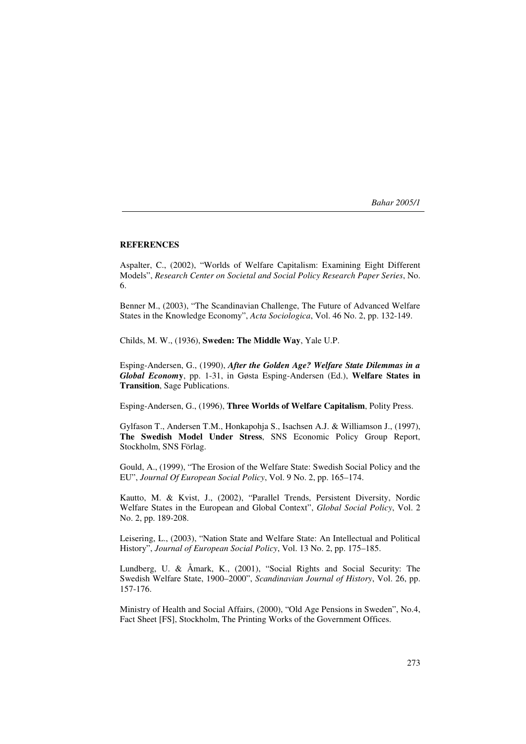#### **REFERENCES**

Aspalter, C., (2002), "Worlds of Welfare Capitalism: Examining Eight Different Models", *Research Center on Societal and Social Policy Research Paper Series*, No. 6.

Benner M., (2003), "The Scandinavian Challenge, The Future of Advanced Welfare States in the Knowledge Economy", *Acta Sociologica*, Vol. 46 No. 2, pp. 132-149.

Childs, M. W., (1936), **Sweden: The Middle Way**, Yale U.P.

Esping-Andersen, G., (1990), *After the Golden Age? Welfare State Dilemmas in a Global Econom***y**, pp. 1-31, in Gøsta Esping-Andersen (Ed.), **Welfare States in Transition**, Sage Publications.

Esping-Andersen, G., (1996), **Three Worlds of Welfare Capitalism**, Polity Press.

Gylfason T., Andersen T.M., Honkapohja S., Isachsen A.J. & Williamson J., (1997), **The Swedish Model Under Stress**, SNS Economic Policy Group Report, Stockholm, SNS Förlag.

Gould, A., (1999), "The Erosion of the Welfare State: Swedish Social Policy and the EU", *Journal Of European Social Policy*, Vol. 9 No. 2, pp. 165–174.

Kautto, M. & Kvist, J., (2002), "Parallel Trends, Persistent Diversity, Nordic Welfare States in the European and Global Context", *Global Social Policy*, Vol. 2 No. 2, pp. 189-208.

Leisering, L., (2003), "Nation State and Welfare State: An Intellectual and Political History", *Journal of European Social Policy*, Vol. 13 No. 2, pp. 175–185.

Lundberg, U. & Åmark, K., (2001), "Social Rights and Social Security: The Swedish Welfare State, 1900–2000", *Scandinavian Journal of History*, Vol. 26, pp. 157-176.

Ministry of Health and Social Affairs, (2000), "Old Age Pensions in Sweden", No.4, Fact Sheet [FS], Stockholm, The Printing Works of the Government Offices.